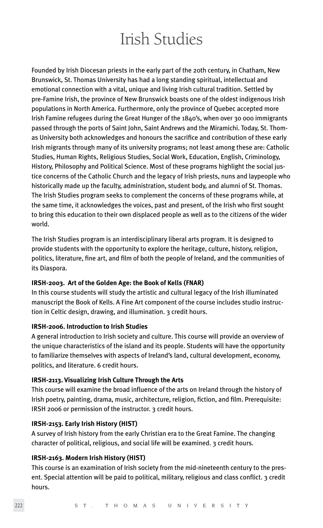# Irish Studies

Founded by Irish Diocesan priests in the early part of the 20th century, in Chatham, New Brunswick, St. Thomas University has had a long standing spiritual, intellectual and emotional connection with a vital, unique and living Irish cultural tradition. Settled by pre-Famine Irish, the province of New Brunswick boasts one of the oldest indigenous Irish populations in North America. Furthermore, only the province of Quebec accepted more Irish Famine refugees during the Great Hunger of the 1840's, when over 30 000 immigrants passed through the ports of Saint John, Saint Andrews and the Miramichi. Today, St. Thomas University both acknowledges and honours the sacrifice and contribution of these early Irish migrants through many of its university programs; not least among these are: Catholic Studies, Human Rights, Religious Studies, Social Work, Education, English, Criminology, History, Philosophy and Political Science. Most of these programs highlight the social justice concerns of the Catholic Church and the legacy of Irish priests, nuns and laypeople who historically made up the faculty, administration, student body, and alumni of St. Thomas. The Irish Studies program seeks to complement the concerns of these programs while, at the same time, it acknowledges the voices, past and present, of the Irish who first sought to bring this education to their own displaced people as well as to the citizens of the wider world.

The Irish Studies program is an interdisciplinary liberal arts program. It is designed to provide students with the opportunity to explore the heritage, culture, history, religion, politics, literature, fine art, and film of both the people of Ireland, and the communities of its Diaspora.

## **IRSH-2003. Art of the Golden Age: the Book of Kells (FNAR)**

In this course students will study the artistic and cultural legacy of the Irish illuminated manuscript the Book of Kells. A Fine Art component of the course includes studio instruction in Celtic design, drawing, and illumination. 3 credit hours.

## **IRSH-2006. Introduction to Irish Studies**

A general introduction to Irish society and culture. This course will provide an overview of the unique characteristics of the island and its people. Students will have the opportunity to familiarize themselves with aspects of Ireland's land, cultural development, economy, politics, and literature. 6 credit hours.

# **IRSH-2113. Visualizing Irish Culture Through the Arts**

This course will examine the broad influence of the arts on Ireland through the history of Irish poetry, painting, drama, music, architecture, religion, fiction, and film. Prerequisite: IRSH 2006 or permission of the instructor. 3 credit hours.

## **IRSH-2153. Early Irish History (HIST)**

A survey of Irish history from the early Christian era to the Great Famine. The changing character of political, religious, and social life will be examined. 3 credit hours.

## **IRSH-2163. Modern Irish History (HIST)**

This course is an examination of Irish society from the mid-nineteenth century to the present. Special attention will be paid to political, military, religious and class conflict. 3 credit hours.